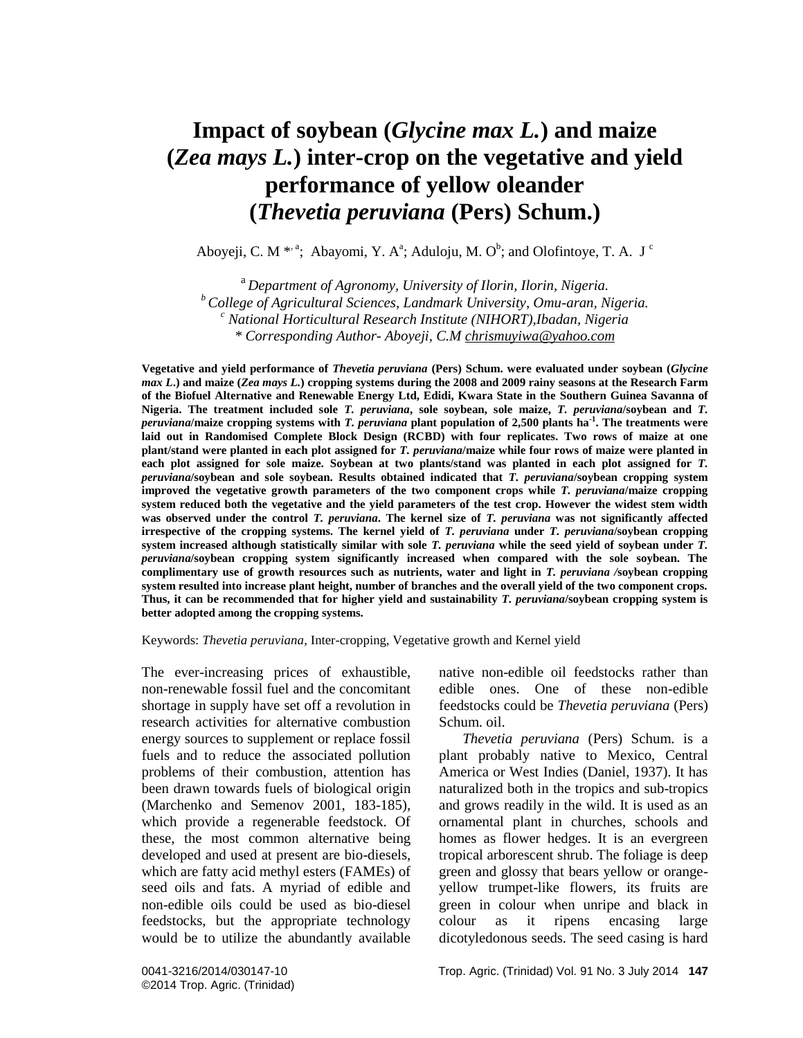# **Impact of soybean (***Glycine max L.***) and maize (***Zea mays L.***) inter-crop on the vegetative and yield performance of yellow oleander (***Thevetia peruviana* **(Pers) Schum.)**

Aboyeji, C. M<sup>\*\*</sup>; Abayomi, Y. A<sup>a</sup>; Aduloju, M. O<sup>b</sup>; and Olofintoye, T. A. J<sup>c</sup>

<sup>a</sup> *Department of Agronomy, University of Ilorin, Ilorin, Nigeria. <sup>b</sup>College of Agricultural Sciences, Landmark University, Omu-aran, Nigeria. <sup>c</sup> National Horticultural Research Institute (NIHORT),Ibadan, Nigeria \* Corresponding Author- Aboyeji, C.M [chrismuyiwa@yahoo.com](mailto:chrismuyiwa@yahoo.com)*

**Vegetative and yield performance of** *Thevetia peruviana* **(Pers) Schum. were evaluated under soybean (***Glycine max L***.) and maize (***Zea mays L.***) cropping systems during the 2008 and 2009 rainy seasons at the Research Farm of the Biofuel Alternative and Renewable Energy Ltd, Edidi, Kwara State in the Southern Guinea Savanna of Nigeria. The treatment included sole** *T. peruviana***, sole soybean, sole maize,** *T. peruviana***/soybean and** *T. peruviana***/maize cropping systems with** *T. peruviana* **plant population of 2,500 plants ha-1 . The treatments were laid out in Randomised Complete Block Design (RCBD) with four replicates. Two rows of maize at one plant/stand were planted in each plot assigned for** *T. peruviana***/maize while four rows of maize were planted in each plot assigned for sole maize. Soybean at two plants/stand was planted in each plot assigned for** *T. peruviana***/soybean and sole soybean. Results obtained indicated that** *T. peruviana***/soybean cropping system improved the vegetative growth parameters of the two component crops while** *T. peruviana***/maize cropping system reduced both the vegetative and the yield parameters of the test crop. However the widest stem width was observed under the control** *T. peruviana***. The kernel size of** *T. peruviana* **was not significantly affected irrespective of the cropping systems. The kernel yield of** *T. peruviana* **under** *T. peruviana***/soybean cropping system increased although statistically similar with sole** *T. peruviana* **while the seed yield of soybean under** *T. peruviana***/soybean cropping system significantly increased when compared with the sole soybean. The complimentary use of growth resources such as nutrients, water and light in** *T. peruviana /***soybean cropping system resulted into increase plant height, number of branches and the overall yield of the two component crops. Thus, it can be recommended that for higher yield and sustainability** *T. peruviana***/soybean cropping system is better adopted among the cropping systems.**

Keywords: *Thevetia peruviana*, Inter-cropping, Vegetative growth and Kernel yield

The ever-increasing prices of exhaustible, non-renewable fossil fuel and the concomitant shortage in supply have set off a revolution in research activities for alternative combustion energy sources to supplement or replace fossil fuels and to reduce the associated pollution problems of their combustion, attention has been drawn towards fuels of biological origin (Marchenko and Semenov 2001, 183-185), which provide a regenerable feedstock. Of these, the most common alternative being developed and used at present are bio-diesels, which are fatty acid methyl esters (FAMEs) of seed oils and fats. A myriad of edible and non-edible oils could be used as bio-diesel feedstocks, but the appropriate technology would be to utilize the abundantly available native non-edible oil feedstocks rather than edible ones. One of these non-edible feedstocks could be *Thevetia peruviana* (Pers) Schum. oil.

*Thevetia peruviana* (Pers) Schum. is a plant probably native to Mexico, Central America or West Indies (Daniel, 1937). It has naturalized both in the tropics and sub-tropics and grows readily in the wild. It is used as an ornamental plant in churches, schools and homes as flower hedges. It is an evergreen tropical arborescent shrub. The foliage is deep green and glossy that bears yellow or orangeyellow trumpet-like flowers, its fruits are green in colour when unripe and black in colour as it ripens encasing large dicotyledonous seeds. The seed casing is hard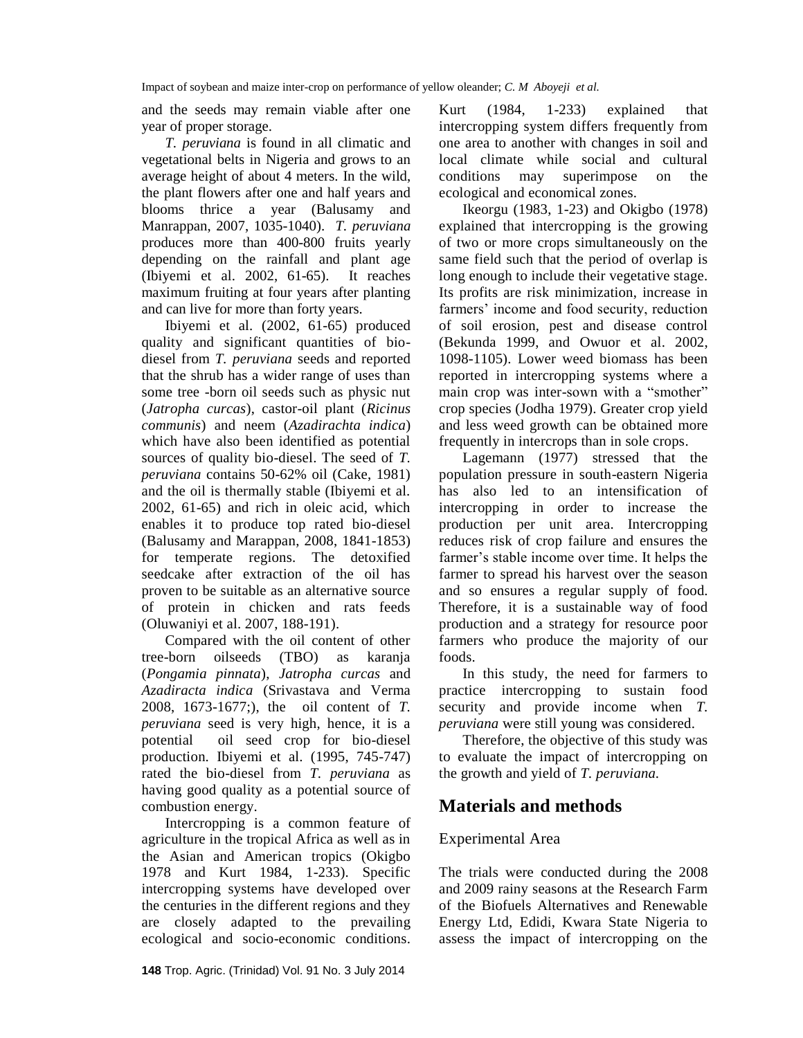and the seeds may remain viable after one year of proper storage.

*T. peruviana* is found in all climatic and vegetational belts in Nigeria and grows to an average height of about 4 meters. In the wild, the plant flowers after one and half years and blooms thrice a year (Balusamy and Manrappan, 2007, 1035-1040). *T. peruviana* produces more than 400-800 fruits yearly depending on the rainfall and plant age (Ibiyemi et al. 2002, 61-65). It reaches maximum fruiting at four years after planting and can live for more than forty years.

Ibiyemi et al*.* (2002, 61-65) produced quality and significant quantities of biodiesel from *T. peruviana* seeds and reported that the shrub has a wider range of uses than some tree -born oil seeds such as physic nut (*Jatropha curcas*), castor-oil plant (*Ricinus communis*) and neem (*Azadirachta indica*) which have also been identified as potential sources of quality bio-diesel. The seed of *T. peruviana* contains 50-62% oil (Cake, 1981) and the oil is thermally stable (Ibiyemi et al. 2002, 61-65) and rich in oleic acid, which enables it to produce top rated bio-diesel (Balusamy and Marappan, 2008, 1841-1853) for temperate regions. The detoxified seedcake after extraction of the oil has proven to be suitable as an alternative source of protein in chicken and rats feeds (Oluwaniyi et al. 2007, 188-191).

Compared with the oil content of other tree-born oilseeds (TBO) as karanja (*Pongamia pinnata*), *Jatropha curcas* and *Azadiracta indica* (Srivastava and Verma 2008, 1673-1677;), the oil content of *T. peruviana* seed is very high, hence, it is a potential oil seed crop for bio-diesel production. Ibiyemi et al. (1995, 745-747) rated the bio-diesel from *T. peruviana* as having good quality as a potential source of combustion energy.

Intercropping is a common feature of agriculture in the tropical Africa as well as in the Asian and American tropics (Okigbo 1978 and Kurt 1984, 1-233). Specific intercropping systems have developed over the centuries in the different regions and they are closely adapted to the prevailing ecological and socio-economic conditions. Kurt (1984, 1-233) explained that intercropping system differs frequently from one area to another with changes in soil and local climate while social and cultural conditions may superimpose on the ecological and economical zones.

Ikeorgu (1983, 1-23) and Okigbo (1978) explained that intercropping is the growing of two or more crops simultaneously on the same field such that the period of overlap is long enough to include their vegetative stage. Its profits are risk minimization, increase in farmers' income and food security, reduction of soil erosion, pest and disease control (Bekunda 1999, and Owuor et al. 2002, 1098-1105). Lower weed biomass has been reported in intercropping systems where a main crop was inter-sown with a "smother" crop species (Jodha 1979). Greater crop yield and less weed growth can be obtained more frequently in intercrops than in sole crops.

Lagemann (1977) stressed that the population pressure in south-eastern Nigeria has also led to an intensification of intercropping in order to increase the production per unit area. Intercropping reduces risk of crop failure and ensures the farmer's stable income over time. It helps the farmer to spread his harvest over the season and so ensures a regular supply of food. Therefore, it is a sustainable way of food production and a strategy for resource poor farmers who produce the majority of our foods.

In this study, the need for farmers to practice intercropping to sustain food security and provide income when *T. peruviana* were still young was considered.

Therefore, the objective of this study was to evaluate the impact of intercropping on the growth and yield of *T. peruviana.*

# **Materials and methods**

### Experimental Area

The trials were conducted during the 2008 and 2009 rainy seasons at the Research Farm of the Biofuels Alternatives and Renewable Energy Ltd, Edidi, Kwara State Nigeria to assess the impact of intercropping on the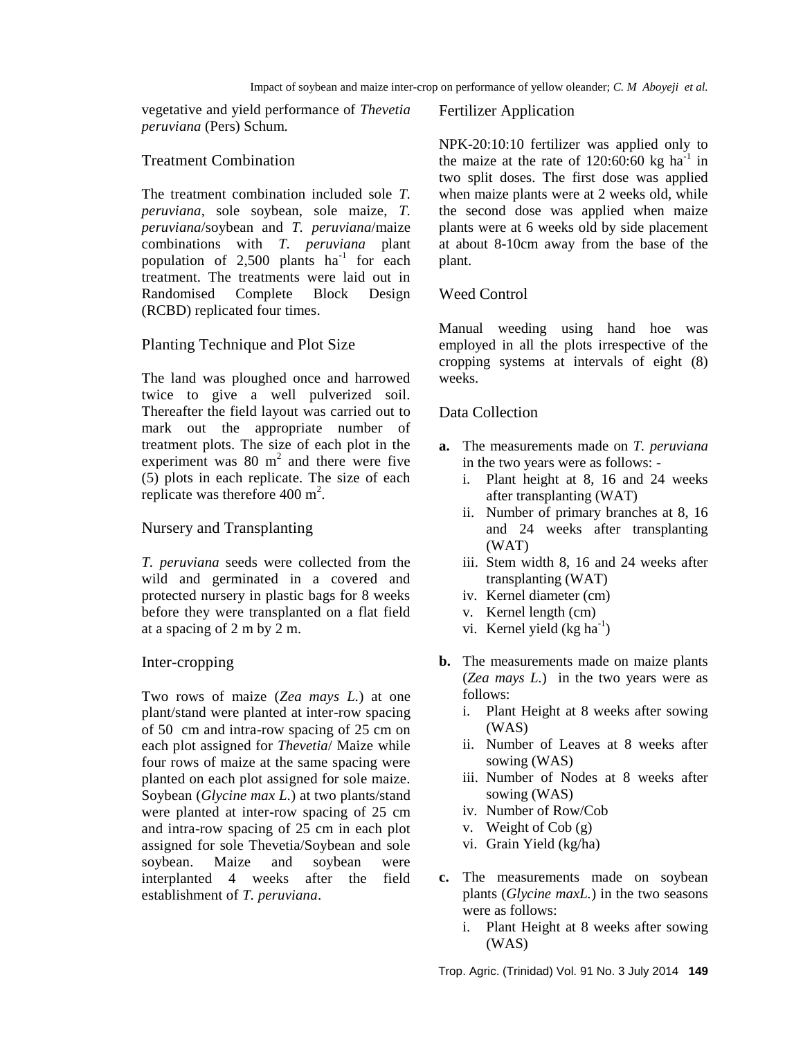vegetative and yield performance of *Thevetia peruviana* (Pers) Schum*.*

#### Treatment Combination

The treatment combination included sole *T. peruviana*, sole soybean, sole maize, *T. peruviana*/soybean and *T. peruviana*/maize combinations with *T. peruviana* plant population of  $2,500$  plants ha<sup>-1</sup> for each treatment. The treatments were laid out in Randomised Complete Block Design (RCBD) replicated four times.

#### Planting Technique and Plot Size

The land was ploughed once and harrowed twice to give a well pulverized soil. Thereafter the field layout was carried out to mark out the appropriate number of treatment plots. The size of each plot in the experiment was  $80 \text{ m}^2$  and there were five (5) plots in each replicate. The size of each replicate was therefore 400  $m^2$ .

#### Nursery and Transplanting

*T. peruviana* seeds were collected from the wild and germinated in a covered and protected nursery in plastic bags for 8 weeks before they were transplanted on a flat field at a spacing of 2 m by 2 m.

#### Inter-cropping

Two rows of maize (*Zea mays L.*) at one plant/stand were planted at inter-row spacing of 50 cm and intra-row spacing of 25 cm on each plot assigned for *Thevetia*/ Maize while four rows of maize at the same spacing were planted on each plot assigned for sole maize. Soybean (*Glycine max L.*) at two plants/stand were planted at inter-row spacing of 25 cm and intra-row spacing of 25 cm in each plot assigned for sole Thevetia/Soybean and sole soybean. Maize and soybean were interplanted 4 weeks after the field establishment of *T. peruviana*.

#### Fertilizer Application

NPK-20:10:10 fertilizer was applied only to the maize at the rate of  $120:60:60$  kg ha<sup>-1</sup> in two split doses. The first dose was applied when maize plants were at 2 weeks old, while the second dose was applied when maize plants were at 6 weeks old by side placement at about 8-10cm away from the base of the plant.

#### Weed Control

Manual weeding using hand hoe was employed in all the plots irrespective of the cropping systems at intervals of eight (8) weeks.

#### Data Collection

- **a.** The measurements made on *T. peruviana* in the two years were as follows:
	- i. Plant height at 8, 16 and 24 weeks after transplanting (WAT)
	- ii. Number of primary branches at 8, 16 and 24 weeks after transplanting (WAT)
	- iii. Stem width 8, 16 and 24 weeks after transplanting (WAT)
	- iv. Kernel diameter (cm)
	- v. Kernel length (cm)
	- vi. Kernel yield  $(kg ha^{-1})$
- **b.** The measurements made on maize plants (*Zea mays L.*) in the two years were as follows:
	- i. Plant Height at 8 weeks after sowing (WAS)
	- ii. Number of Leaves at 8 weeks after sowing (WAS)
	- iii. Number of Nodes at 8 weeks after sowing (WAS)
	- iv. Number of Row/Cob
	- v. Weight of Cob (g)
	- vi. Grain Yield (kg/ha)
- **c.** The measurements made on soybean plants (*Glycine maxL.*) in the two seasons were as follows:
	- i. Plant Height at 8 weeks after sowing (WAS)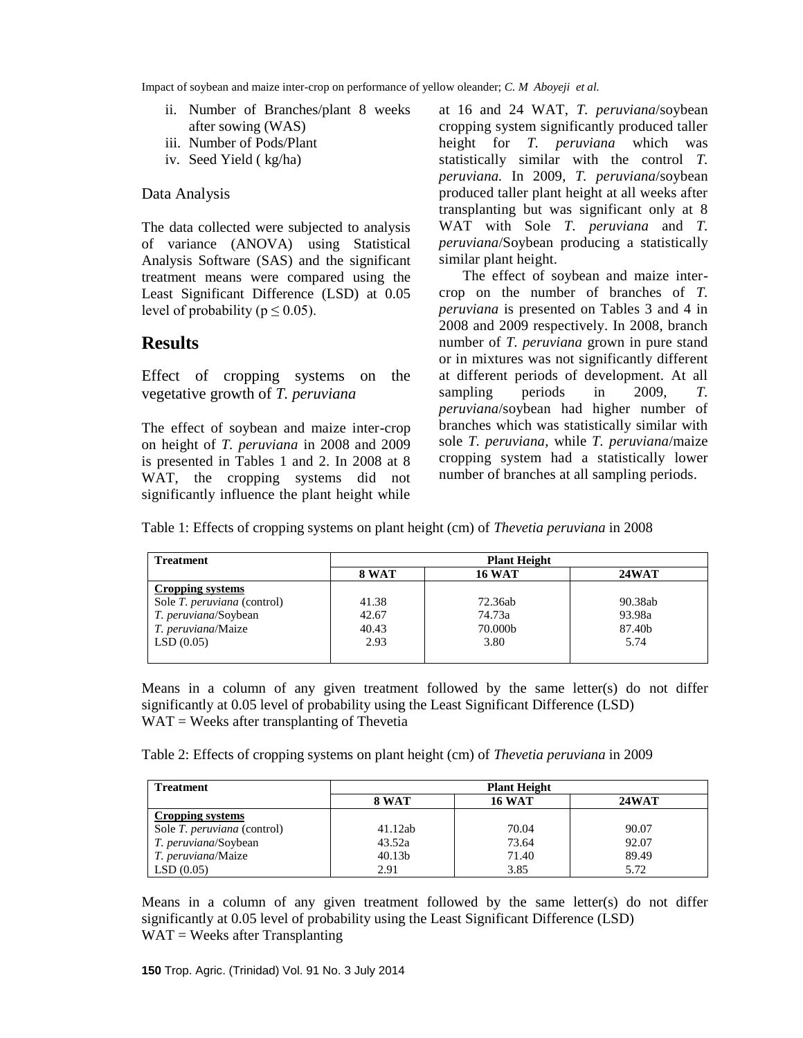- ii. Number of Branches/plant 8 weeks after sowing (WAS)
- iii. Number of Pods/Plant
- iv. Seed Yield ( kg/ha)

#### Data Analysis

The data collected were subjected to analysis of variance (ANOVA) using Statistical Analysis Software (SAS) and the significant treatment means were compared using the Least Significant Difference (LSD) at 0.05 level of probability ( $p \le 0.05$ ).

### **Results**

Effect of cropping systems on the vegetative growth of *T. peruviana*

The effect of soybean and maize inter-crop on height of *T. peruviana* in 2008 and 2009 is presented in Tables 1 and 2. In 2008 at 8 WAT, the cropping systems did not significantly influence the plant height while

at 16 and 24 WAT, *T. peruviana*/soybean cropping system significantly produced taller height for *T. peruviana* which was statistically similar with the control *T. peruviana.* In 2009, *T. peruviana*/soybean produced taller plant height at all weeks after transplanting but was significant only at 8 WAT with Sole *T. peruviana* and *T. peruviana*/Soybean producing a statistically similar plant height.

The effect of soybean and maize intercrop on the number of branches of *T. peruviana* is presented on Tables 3 and 4 in 2008 and 2009 respectively. In 2008, branch number of *T. peruviana* grown in pure stand or in mixtures was not significantly different at different periods of development. At all sampling periods in 2009, *T. peruviana*/soybean had higher number of branches which was statistically similar with sole *T. peruviana,* while *T. peruviana*/maize cropping system had a statistically lower number of branches at all sampling periods.

Table 1: Effects of cropping systems on plant height (cm) of *Thevetia peruviana* in 2008

| <b>Treatment</b>            | <b>Plant Height</b> |               |              |  |  |
|-----------------------------|---------------------|---------------|--------------|--|--|
|                             | 8 WAT               | <b>16 WAT</b> | <b>24WAT</b> |  |  |
| Cropping systems            |                     |               |              |  |  |
| Sole T. peruviana (control) | 41.38               | 72.36ab       | 90.38ab      |  |  |
| T. peruviana/Soybean        | 42.67               | 74.73a        | 93.98a       |  |  |
| T. peruviana/Maize          | 40.43               | 70.000b       | 87.40b       |  |  |
| LSD(0.05)                   | 2.93                | 3.80          | 5.74         |  |  |
|                             |                     |               |              |  |  |

Means in a column of any given treatment followed by the same letter(s) do not differ significantly at 0.05 level of probability using the Least Significant Difference (LSD)  $WAT = Weeks$  after transplanting of Thevetia

Table 2: Effects of cropping systems on plant height (cm) of *Thevetia peruviana* in 2009

| <b>Treatment</b>                   | <b>Plant Height</b> |              |       |  |  |  |  |
|------------------------------------|---------------------|--------------|-------|--|--|--|--|
|                                    | 8 WAT               | <b>24WAT</b> |       |  |  |  |  |
| Cropping systems                   |                     |              |       |  |  |  |  |
| Sole <i>T. peruviana</i> (control) | 41.12ab             | 70.04        | 90.07 |  |  |  |  |
| <i>T. peruviana/Soybean</i>        | 43.52a              | 73.64        | 92.07 |  |  |  |  |
| <i>T. peruviana/Maize</i>          | 40.13 <sub>b</sub>  | 71.40        | 89.49 |  |  |  |  |
| LSD(0.05)                          | 2.91                | 3.85         | 5.72  |  |  |  |  |

Means in a column of any given treatment followed by the same letter $(s)$  do not differ significantly at 0.05 level of probability using the Least Significant Difference (LSD)  $WAT = Weeks$  after Transplanting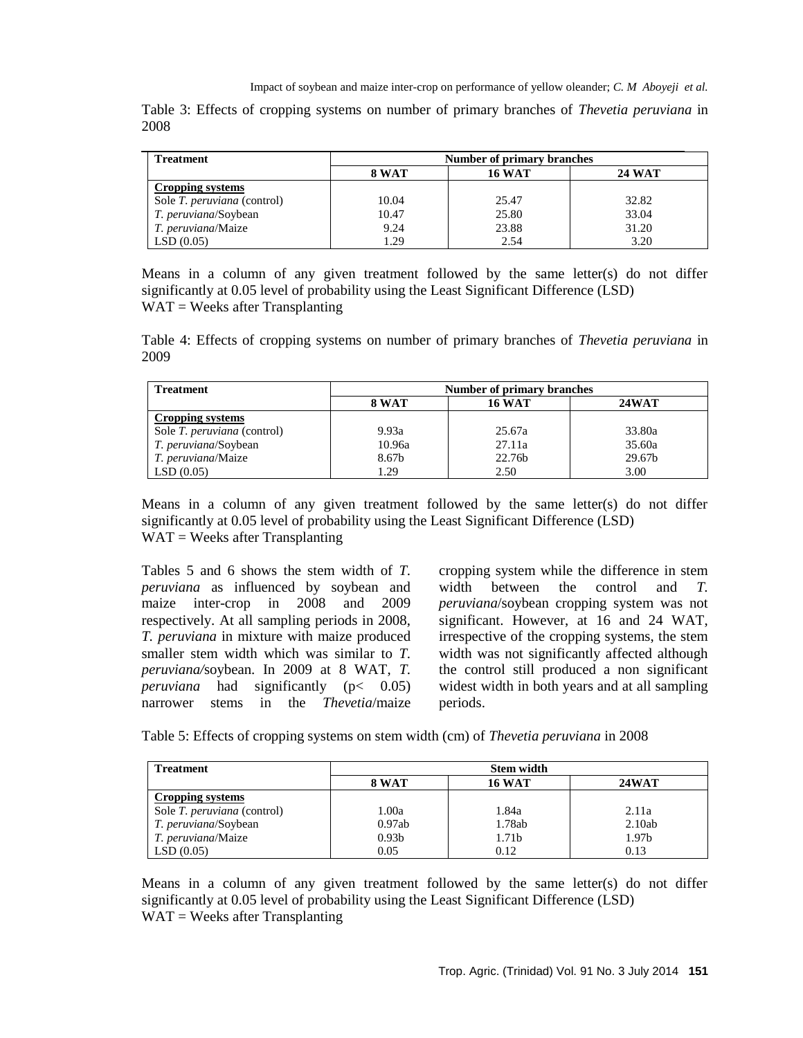Table 3: Effects of cropping systems on number of primary branches of *Thevetia peruviana* in 2008

| <b>Treatment</b>                   | Number of primary branches |               |       |  |  |  |  |
|------------------------------------|----------------------------|---------------|-------|--|--|--|--|
|                                    | 8 WAT                      | <b>16 WAT</b> |       |  |  |  |  |
| <b>Cropping systems</b>            |                            |               |       |  |  |  |  |
| Sole <i>T. peruviana</i> (control) | 10.04                      | 25.47         | 32.82 |  |  |  |  |
| <i>T. peruviana/Soybean</i>        | 10.47                      | 25.80         | 33.04 |  |  |  |  |
| T. peruviana/Maize                 | 9.24                       | 23.88         | 31.20 |  |  |  |  |
| LSD(0.05)                          | 1.29                       | 2.54          | 3.20  |  |  |  |  |

Means in a column of any given treatment followed by the same letter $(s)$  do not differ significantly at 0.05 level of probability using the Least Significant Difference (LSD)  $WAT = Weeks$  after Transplanting

Table 4: Effects of cropping systems on number of primary branches of *Thevetia peruviana* in 2009

| <b>Treatment</b>            | Number of primary branches |                    |        |  |  |  |
|-----------------------------|----------------------------|--------------------|--------|--|--|--|
|                             | 8 WAT                      | <b>24WAT</b>       |        |  |  |  |
| Cropping systems            |                            |                    |        |  |  |  |
| Sole T. peruviana (control) | 9.93a                      | 25.67a             | 33.80a |  |  |  |
| T. peruviana/Soybean        | 10.96a                     | 27.11a             | 35.60a |  |  |  |
| T. peruviana/Maize          | 8.67b                      | 22.76 <sub>b</sub> | 29.67b |  |  |  |
| LSD(0.05)                   | 1.29                       | 2.50               | 3.00   |  |  |  |

Means in a column of any given treatment followed by the same letter $(s)$  do not differ significantly at 0.05 level of probability using the Least Significant Difference (LSD)  $WAT = Weeks$  after Transplanting

Tables 5 and 6 shows the stem width of *T. peruviana* as influenced by soybean and maize inter-crop in 2008 and 2009 respectively. At all sampling periods in 2008, *T. peruviana* in mixture with maize produced smaller stem width which was similar to *T. peruviana/*soybean. In 2009 at 8 WAT, *T. peruviana* had significantly  $(p < 0.05)$ narrower stems in the *Thevetia*/maize

cropping system while the difference in stem width between the control and *T*. *peruviana*/soybean cropping system was not significant. However, at 16 and 24 WAT, irrespective of the cropping systems, the stem width was not significantly affected although the control still produced a non significant widest width in both years and at all sampling periods.

Table 5: Effects of cropping systems on stem width (cm) of *Thevetia peruviana* in 2008

| Treatment                          | <b>Stem width</b> |               |              |  |  |  |  |
|------------------------------------|-------------------|---------------|--------------|--|--|--|--|
|                                    | 8 WAT             | <b>16 WAT</b> | <b>24WAT</b> |  |  |  |  |
| Cropping systems                   |                   |               |              |  |  |  |  |
| Sole <i>T. peruviana</i> (control) | 1.00a             | 1.84a         | 2.11a        |  |  |  |  |
| <i>T. peruviana/Soybean</i>        | 0.97ab            | 1.78ab        | 2.10ab       |  |  |  |  |
| T. peruviana/Maize                 | 0.93 <sub>b</sub> | 1.71b         | 1.97b        |  |  |  |  |
| LSD(0.05)                          | 0.05              | 0.12          | 0.13         |  |  |  |  |

Means in a column of any given treatment followed by the same letter(s) do not differ significantly at 0.05 level of probability using the Least Significant Difference (LSD)  $WAT = Weeks$  after Transplanting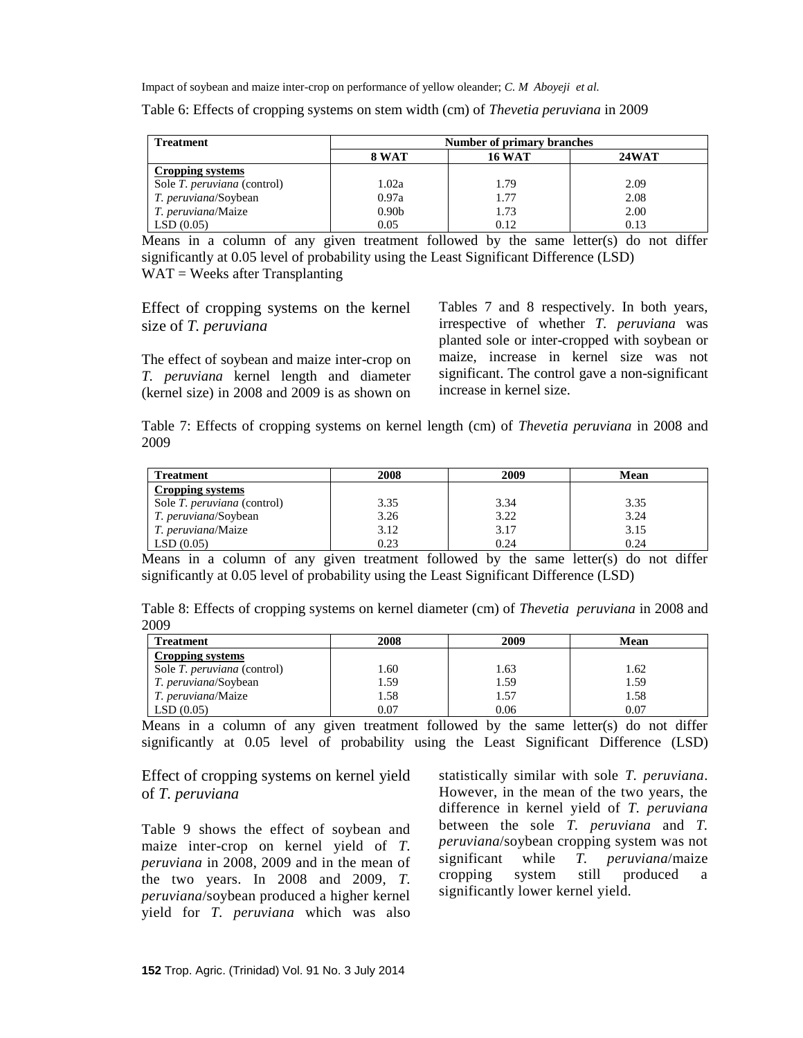| Table 6: Effects of cropping systems on stem width (cm) of Thevetia peruviana in 2009 |
|---------------------------------------------------------------------------------------|
|---------------------------------------------------------------------------------------|

| <b>Treatment</b>                   | Number of primary branches |              |      |  |  |  |
|------------------------------------|----------------------------|--------------|------|--|--|--|
|                                    | 8 WAT                      | <b>24WAT</b> |      |  |  |  |
| Cropping systems                   |                            |              |      |  |  |  |
| Sole <i>T. peruviana</i> (control) | 1.02a                      | 1.79         | 2.09 |  |  |  |
| <i>T. peruviana/Soybean</i>        | 0.97a                      | 1.77         | 2.08 |  |  |  |
| T. peruviana/Maize                 | 0.90 <sub>b</sub>          | 1.73         | 2.00 |  |  |  |
| LSD(0.05)                          | 0.05                       | 0.12         | 0.13 |  |  |  |

Means in a column of any given treatment followed by the same letter(s) do not differ significantly at 0.05 level of probability using the Least Significant Difference (LSD)  $WAT = Weeks$  after Transplanting

Effect of cropping systems on the kernel size of *T. peruviana*

The effect of soybean and maize inter-crop on *T. peruviana* kernel length and diameter (kernel size) in 2008 and 2009 is as shown on Tables 7 and 8 respectively. In both years, irrespective of whether *T. peruviana* was planted sole or inter-cropped with soybean or maize, increase in kernel size was not significant. The control gave a non-significant increase in kernel size.

Table 7: Effects of cropping systems on kernel length (cm) of *Thevetia peruviana* in 2008 and 2009

| <b>Treatment</b>                   | 2008 | 2009 | Mean |
|------------------------------------|------|------|------|
| Cropping systems                   |      |      |      |
| Sole <i>T. peruviana</i> (control) | 3.35 | 3.34 | 3.35 |
| <i>T. peruviana/Soybean</i>        | 3.26 | 3.22 | 3.24 |
| T. peruviana/Maize                 | 3.12 | 3.17 | 3.15 |
| LSD(0.05)                          | 0.23 | 0.24 | 0.24 |

Means in a column of any given treatment followed by the same letter(s) do not differ significantly at 0.05 level of probability using the Least Significant Difference (LSD)

Table 8: Effects of cropping systems on kernel diameter (cm) of *Thevetia peruviana* in 2008 and 2009

| Treatment                          | 2008 | 2009 | Mean |
|------------------------------------|------|------|------|
| Cropping systems                   |      |      |      |
| Sole <i>T. peruviana</i> (control) | 1.60 | 1.63 | 1.62 |
| <i>T. peruviana/Soybean</i>        | 1.59 | 1.59 | 1.59 |
| T. peruviana/Maize                 | 1.58 | 1.57 | 1.58 |
| LSD(0.05)                          | 0.07 | 0.06 | 0.07 |

Means in a column of any given treatment followed by the same letter(s) do not differ significantly at 0.05 level of probability using the Least Significant Difference (LSD)

Effect of cropping systems on kernel yield of *T. peruviana*

Table 9 shows the effect of soybean and maize inter-crop on kernel yield of *T. peruviana* in 2008, 2009 and in the mean of the two years. In 2008 and 2009, *T. peruviana*/soybean produced a higher kernel yield for *T. peruviana* which was also

statistically similar with sole *T. peruviana*. However, in the mean of the two years, the difference in kernel yield of *T. peruviana*  between the sole *T. peruviana* and *T. peruviana*/soybean cropping system was not significant while *T. peruviana*/maize cropping system still produced a significantly lower kernel yield.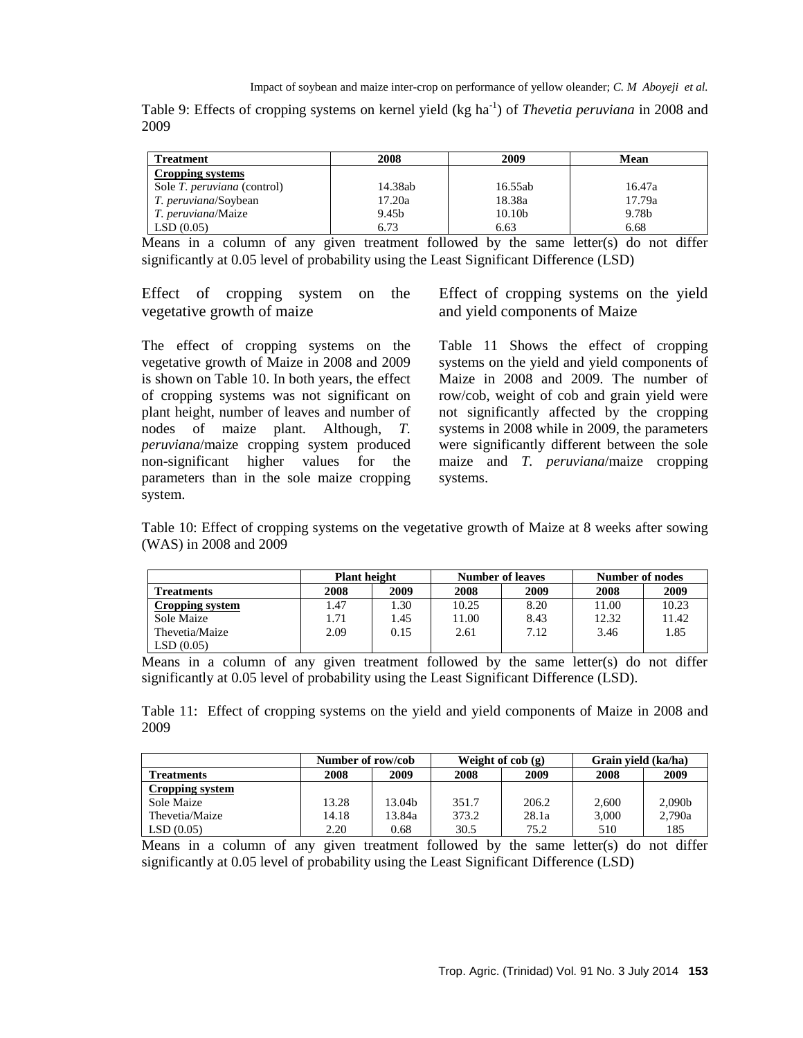Table 9: Effects of cropping systems on kernel yield (kg ha<sup>-1</sup>) of *Thevetia peruviana* in 2008 and 2009

| Treatment                          | 2008    | 2009               | Mean   |
|------------------------------------|---------|--------------------|--------|
| Cropping systems                   |         |                    |        |
| Sole <i>T. peruviana</i> (control) | 14.38ab | 16.55ab            | 16.47a |
| <i>T. peruviana/Soybean</i>        | 17.20a  | 18.38a             | 17.79a |
| <i>T. peruviana/Maize</i>          | 9.45b   | 10.10 <sub>b</sub> | 9.78b  |
| LSD(0.05)                          | 6.73    | 6.63               | 6.68   |

Means in a column of any given treatment followed by the same letter $(s)$  do not differ significantly at 0.05 level of probability using the Least Significant Difference (LSD)

Effect of cropping system on the vegetative growth of maize

The effect of cropping systems on the vegetative growth of Maize in 2008 and 2009 is shown on Table 10. In both years, the effect of cropping systems was not significant on plant height, number of leaves and number of nodes of maize plant. Although, *T. peruviana*/maize cropping system produced non-significant higher values for the parameters than in the sole maize cropping system.

Effect of cropping systems on the yield and yield components of Maize

Table 11 Shows the effect of cropping systems on the yield and yield components of Maize in 2008 and 2009. The number of row/cob, weight of cob and grain yield were not significantly affected by the cropping systems in 2008 while in 2009, the parameters were significantly different between the sole maize and *T. peruviana*/maize cropping systems.

Table 10: Effect of cropping systems on the vegetative growth of Maize at 8 weeks after sowing (WAS) in 2008 and 2009

|                   | <b>Plant height</b> |      |       | <b>Number of leaves</b> | Number of nodes |       |
|-------------------|---------------------|------|-------|-------------------------|-----------------|-------|
| <b>Treatments</b> | 2008                | 2009 | 2008  | 2009                    | 2008            | 2009  |
| Cropping system   | .47                 | 1.30 | 10.25 | 8.20                    | 11.00           | 10.23 |
| Sole Maize        | .71                 | 1.45 | 11.00 | 8.43                    | 12.32           | 11.42 |
| Thevetia/Maize    | 2.09                | 0.15 | 2.61  | 7.12                    | 3.46            | 1.85  |
| LSD(0.05)         |                     |      |       |                         |                 |       |

Means in a column of any given treatment followed by the same letter(s) do not differ significantly at 0.05 level of probability using the Least Significant Difference (LSD).

Table 11: Effect of cropping systems on the yield and yield components of Maize in 2008 and 2009

|                   | Number of row/cob |        | Weight of $\cosh(g)$ |       | Grain vield (ka/ha) |        |
|-------------------|-------------------|--------|----------------------|-------|---------------------|--------|
| <b>Treatments</b> | 2008              | 2009   | 2008                 | 2009  | 2008                | 2009   |
| Cropping system   |                   |        |                      |       |                     |        |
| Sole Maize        | 13.28             | 13.04b | 351.7                | 206.2 | 2.600               | 2.090b |
| Thevetia/Maize    | 14.18             | 13.84a | 373.2                | 28.1a | 3.000               | 2.790a |
| LSD(0.05)         | 2.20              | 0.68   | 30.5                 | 75.2  | 510                 | 185    |

Means in a column of any given treatment followed by the same letter $(s)$  do not differ significantly at 0.05 level of probability using the Least Significant Difference (LSD)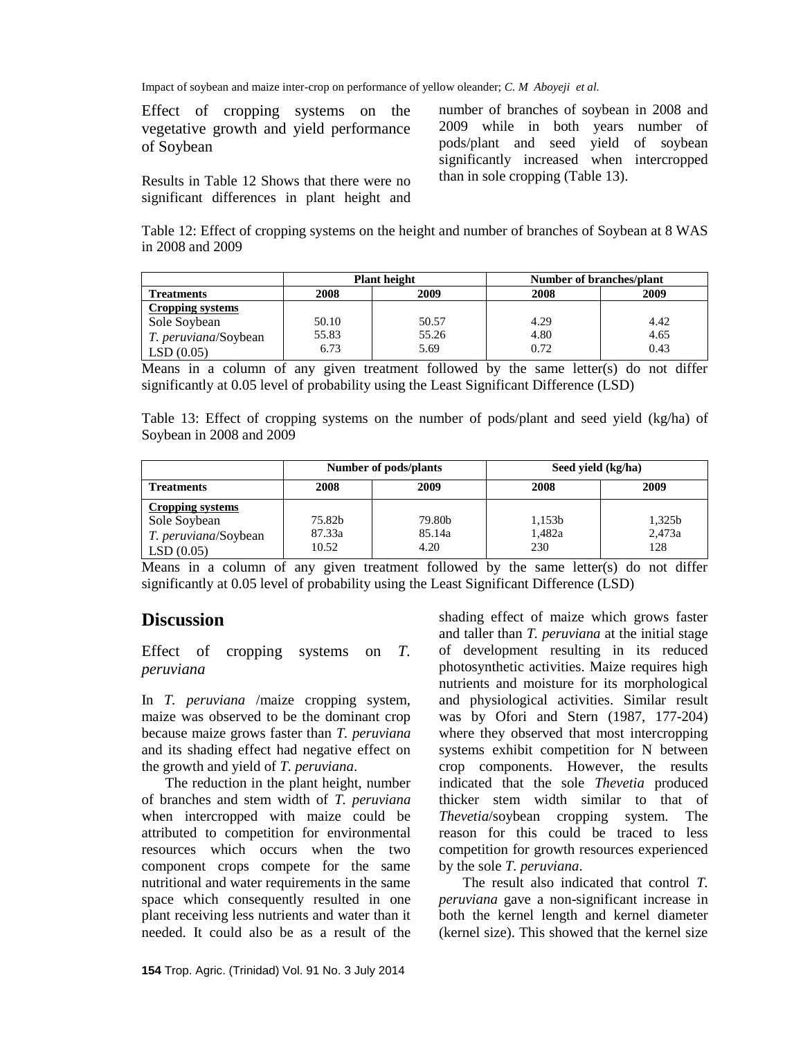Effect of cropping systems on the vegetative growth and yield performance of Soybean

Results in Table 12 Shows that there were no significant differences in plant height and number of branches of soybean in 2008 and 2009 while in both years number of pods/plant and seed yield of soybean significantly increased when intercropped than in sole cropping (Table 13).

Table 12: Effect of cropping systems on the height and number of branches of Soybean at 8 WAS in 2008 and 2009

|                      | <b>Plant height</b> |       | Number of branches/plant |      |
|----------------------|---------------------|-------|--------------------------|------|
| <b>Treatments</b>    | 2008                | 2009  | 2008                     | 2009 |
| Cropping systems     |                     |       |                          |      |
| Sole Soybean         | 50.10               | 50.57 | 4.29                     | 4.42 |
| T. peruviana/Soybean | 55.83               | 55.26 | 4.80                     | 4.65 |
| LSD(0.05)            | 6.73                | 5.69  | 0.72                     | 0.43 |

Means in a column of any given treatment followed by the same letter(s) do not differ significantly at 0.05 level of probability using the Least Significant Difference (LSD)

Table 13: Effect of cropping systems on the number of pods/plant and seed yield (kg/ha) of Soybean in 2008 and 2009

|                                                                       | Number of pods/plants     |                                      | Seed yield (kg/ha)      |                         |
|-----------------------------------------------------------------------|---------------------------|--------------------------------------|-------------------------|-------------------------|
| <b>Treatments</b>                                                     | 2008                      | 2009                                 | 2008                    | 2009                    |
| Cropping systems<br>Sole Soybean<br>T. peruviana/Soybean<br>LSD(0.05) | 75.82b<br>87.33a<br>10.52 | 79.80 <sub>b</sub><br>85.14a<br>4.20 | 1,153b<br>1,482a<br>230 | 1,325b<br>2,473a<br>128 |

Means in a column of any given treatment followed by the same letter(s) do not differ significantly at 0.05 level of probability using the Least Significant Difference (LSD)

# **Discussion**

Effect of cropping systems on *T. peruviana*

In *T. peruviana* /maize cropping system, maize was observed to be the dominant crop because maize grows faster than *T. peruviana* and its shading effect had negative effect on the growth and yield of *T. peruviana*.

The reduction in the plant height, number of branches and stem width of *T. peruviana* when intercropped with maize could be attributed to competition for environmental resources which occurs when the two component crops compete for the same nutritional and water requirements in the same space which consequently resulted in one plant receiving less nutrients and water than it needed. It could also be as a result of the shading effect of maize which grows faster and taller than *T. peruviana* at the initial stage of development resulting in its reduced photosynthetic activities. Maize requires high nutrients and moisture for its morphological and physiological activities. Similar result was by Ofori and Stern (1987, 177-204) where they observed that most intercropping systems exhibit competition for N between crop components. However, the results indicated that the sole *Thevetia* produced thicker stem width similar to that of *Thevetia*/soybean cropping system. The reason for this could be traced to less competition for growth resources experienced by the sole *T. peruviana*.

The result also indicated that control *T. peruviana* gave a non-significant increase in both the kernel length and kernel diameter (kernel size). This showed that the kernel size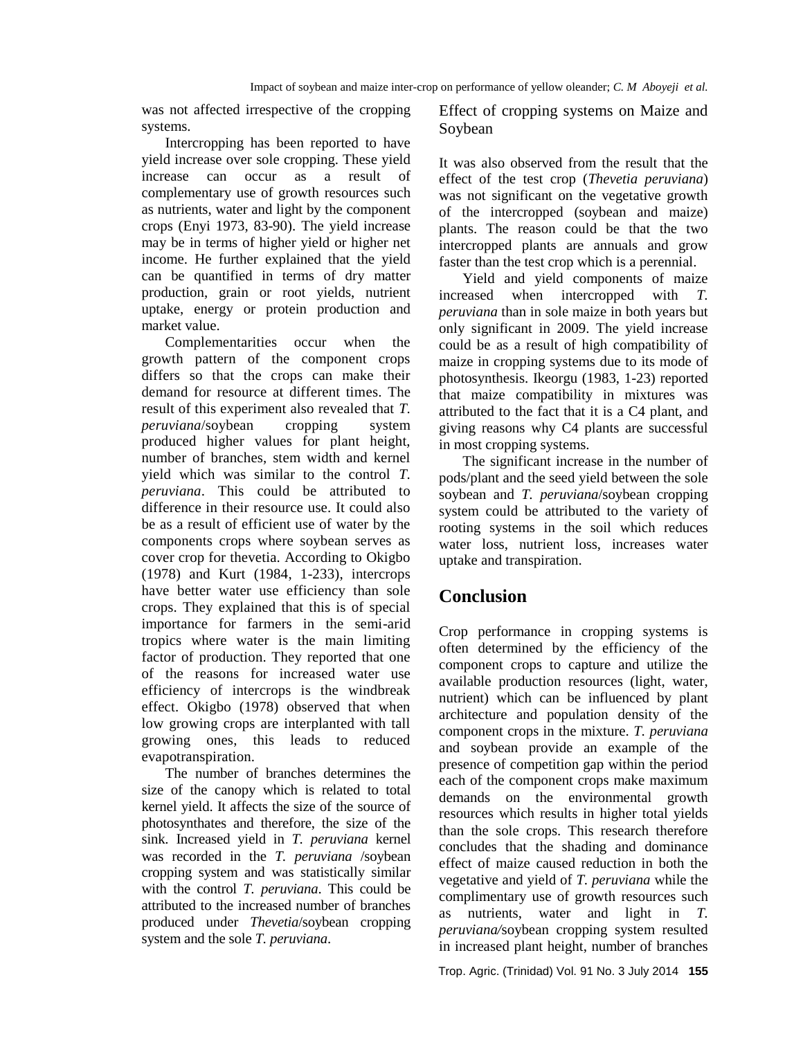was not affected irrespective of the cropping systems.

Intercropping has been reported to have yield increase over sole cropping. These yield increase can occur as a result of complementary use of growth resources such as nutrients, water and light by the component crops (Enyi 1973, 83-90). The yield increase may be in terms of higher yield or higher net income. He further explained that the yield can be quantified in terms of dry matter production, grain or root yields, nutrient uptake, energy or protein production and market value.

Complementarities occur when the growth pattern of the component crops differs so that the crops can make their demand for resource at different times. The result of this experiment also revealed that *T. peruviana*/soybean cropping system produced higher values for plant height, number of branches, stem width and kernel yield which was similar to the control *T. peruviana*. This could be attributed to difference in their resource use. It could also be as a result of efficient use of water by the components crops where soybean serves as cover crop for thevetia. According to Okigbo (1978) and Kurt (1984, 1-233), intercrops have better water use efficiency than sole crops. They explained that this is of special importance for farmers in the semi-arid tropics where water is the main limiting factor of production. They reported that one of the reasons for increased water use efficiency of intercrops is the windbreak effect. Okigbo (1978) observed that when low growing crops are interplanted with tall growing ones, this leads to reduced evapotranspiration.

The number of branches determines the size of the canopy which is related to total kernel yield. It affects the size of the source of photosynthates and therefore, the size of the sink. Increased yield in *T. peruviana* kernel was recorded in the *T. peruviana* /soybean cropping system and was statistically similar with the control *T. peruviana*. This could be attributed to the increased number of branches produced under *Thevetia*/soybean cropping system and the sole *T. peruviana*.

Effect of cropping systems on Maize and Soybean

It was also observed from the result that the effect of the test crop (*Thevetia peruviana*) was not significant on the vegetative growth of the intercropped (soybean and maize) plants. The reason could be that the two intercropped plants are annuals and grow faster than the test crop which is a perennial.

Yield and yield components of maize increased when intercropped with *T. peruviana* than in sole maize in both years but only significant in 2009. The yield increase could be as a result of high compatibility of maize in cropping systems due to its mode of photosynthesis. Ikeorgu (1983, 1-23) reported that maize compatibility in mixtures was attributed to the fact that it is a C4 plant, and giving reasons why C4 plants are successful in most cropping systems.

The significant increase in the number of pods/plant and the seed yield between the sole soybean and *T. peruviana*/soybean cropping system could be attributed to the variety of rooting systems in the soil which reduces water loss, nutrient loss, increases water uptake and transpiration.

# **Conclusion**

Crop performance in cropping systems is often determined by the efficiency of the component crops to capture and utilize the available production resources (light, water, nutrient) which can be influenced by plant architecture and population density of the component crops in the mixture. *T. peruviana* and soybean provide an example of the presence of competition gap within the period each of the component crops make maximum demands on the environmental growth resources which results in higher total yields than the sole crops. This research therefore concludes that the shading and dominance effect of maize caused reduction in both the vegetative and yield of *T. peruviana* while the complimentary use of growth resources such as nutrients, water and light in *T. peruviana/*soybean cropping system resulted in increased plant height, number of branches

Trop. Agric. (Trinidad) Vol. 91 No. 3 July 2014 **155**